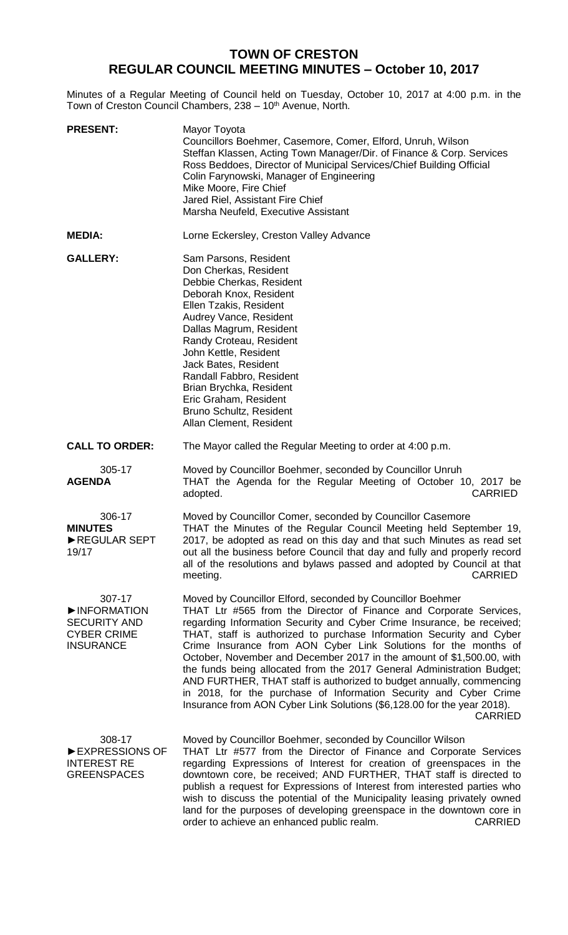## **TOWN OF CRESTON REGULAR COUNCIL MEETING MINUTES – October 10, 2017**

Minutes of a Regular Meeting of Council held on Tuesday, October 10, 2017 at 4:00 p.m. in the Town of Creston Council Chambers, 238 - 10<sup>th</sup> Avenue, North.

| <b>PRESENT:</b>                                                                        | Mayor Toyota<br>Councillors Boehmer, Casemore, Comer, Elford, Unruh, Wilson<br>Steffan Klassen, Acting Town Manager/Dir. of Finance & Corp. Services<br>Ross Beddoes, Director of Municipal Services/Chief Building Official<br>Colin Farynowski, Manager of Engineering<br>Mike Moore, Fire Chief<br>Jared Riel, Assistant Fire Chief<br>Marsha Neufeld, Executive Assistant                                                                                                                                                                                                                                                                                                                                                                      |
|----------------------------------------------------------------------------------------|----------------------------------------------------------------------------------------------------------------------------------------------------------------------------------------------------------------------------------------------------------------------------------------------------------------------------------------------------------------------------------------------------------------------------------------------------------------------------------------------------------------------------------------------------------------------------------------------------------------------------------------------------------------------------------------------------------------------------------------------------|
| <b>MEDIA:</b>                                                                          | Lorne Eckersley, Creston Valley Advance                                                                                                                                                                                                                                                                                                                                                                                                                                                                                                                                                                                                                                                                                                            |
| <b>GALLERY:</b>                                                                        | Sam Parsons, Resident<br>Don Cherkas, Resident<br>Debbie Cherkas, Resident<br>Deborah Knox, Resident<br>Ellen Tzakis, Resident<br>Audrey Vance, Resident<br>Dallas Magrum, Resident<br>Randy Croteau, Resident<br>John Kettle, Resident<br>Jack Bates, Resident<br>Randall Fabbro, Resident<br>Brian Brychka, Resident<br>Eric Graham, Resident<br>Bruno Schultz, Resident<br>Allan Clement, Resident                                                                                                                                                                                                                                                                                                                                              |
| <b>CALL TO ORDER:</b>                                                                  | The Mayor called the Regular Meeting to order at 4:00 p.m.                                                                                                                                                                                                                                                                                                                                                                                                                                                                                                                                                                                                                                                                                         |
| 305-17<br><b>AGENDA</b>                                                                | Moved by Councillor Boehmer, seconded by Councillor Unruh<br>THAT the Agenda for the Regular Meeting of October 10, 2017 be<br>adopted.<br><b>CARRIED</b>                                                                                                                                                                                                                                                                                                                                                                                                                                                                                                                                                                                          |
| 306-17<br><b>MINUTES</b><br>REGULAR SEPT<br>19/17                                      | Moved by Councillor Comer, seconded by Councillor Casemore<br>THAT the Minutes of the Regular Council Meeting held September 19,<br>2017, be adopted as read on this day and that such Minutes as read set<br>out all the business before Council that day and fully and properly record<br>all of the resolutions and bylaws passed and adopted by Council at that<br><b>CARRIED</b><br>meeting.                                                                                                                                                                                                                                                                                                                                                  |
| 307-17<br>INFORMATION<br><b>SECURITY AND</b><br><b>CYBER CRIME</b><br><b>INSURANCE</b> | Moved by Councillor Elford, seconded by Councillor Boehmer<br>THAT Ltr #565 from the Director of Finance and Corporate Services,<br>regarding Information Security and Cyber Crime Insurance, be received;<br>THAT, staff is authorized to purchase Information Security and Cyber<br>Crime Insurance from AON Cyber Link Solutions for the months of<br>October, November and December 2017 in the amount of \$1,500.00, with<br>the funds being allocated from the 2017 General Administration Budget;<br>AND FURTHER, THAT staff is authorized to budget annually, commencing<br>in 2018, for the purchase of Information Security and Cyber Crime<br>Insurance from AON Cyber Link Solutions (\$6,128.00 for the year 2018).<br><b>CARRIED</b> |
| 308-17<br>EXPRESSIONS OF<br><b>INTEREST RE</b><br><b>GREENSPACES</b>                   | Moved by Councillor Boehmer, seconded by Councillor Wilson<br>THAT Ltr #577 from the Director of Finance and Corporate Services<br>regarding Expressions of Interest for creation of greenspaces in the<br>downtown core, be received; AND FURTHER, THAT staff is directed to<br>publish a request for Expressions of Interest from interested parties who<br>wish to discuss the potential of the Municipality leasing privately owned<br>land for the purposes of developing greenspace in the downtown core in<br>order to achieve an enhanced public realm.<br><b>CARRIED</b>                                                                                                                                                                  |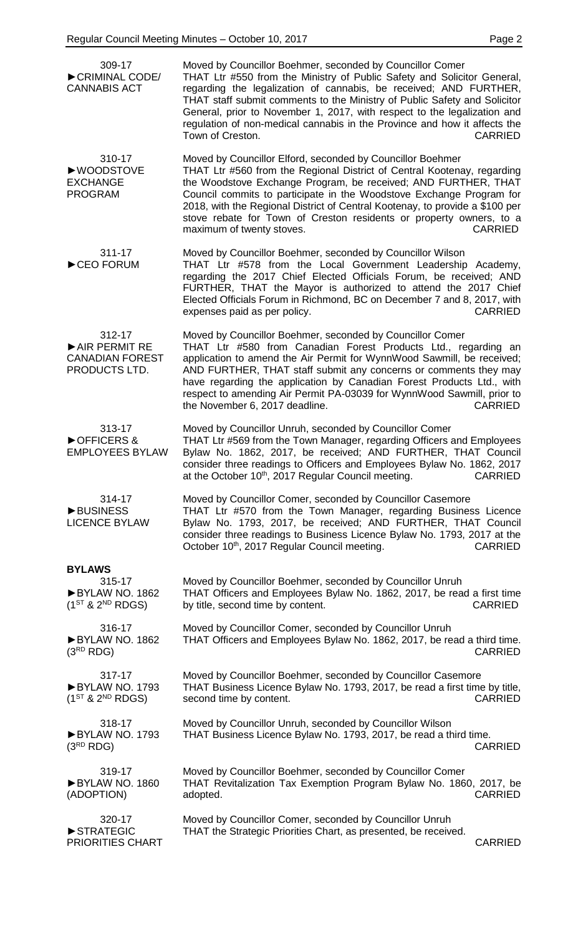| 309-17<br>CRIMINAL CODE/<br><b>CANNABIS ACT</b>                         | Moved by Councillor Boehmer, seconded by Councillor Comer<br>THAT Ltr #550 from the Ministry of Public Safety and Solicitor General,<br>regarding the legalization of cannabis, be received; AND FURTHER,<br>THAT staff submit comments to the Ministry of Public Safety and Solicitor<br>General, prior to November 1, 2017, with respect to the legalization and<br>regulation of non-medical cannabis in the Province and how it affects the<br>Town of Creston. | <b>CARRIED</b> |
|-------------------------------------------------------------------------|---------------------------------------------------------------------------------------------------------------------------------------------------------------------------------------------------------------------------------------------------------------------------------------------------------------------------------------------------------------------------------------------------------------------------------------------------------------------|----------------|
| 310-17<br>▶WOODSTOVE<br><b>EXCHANGE</b><br><b>PROGRAM</b>               | Moved by Councillor Elford, seconded by Councillor Boehmer<br>THAT Ltr #560 from the Regional District of Central Kootenay, regarding<br>the Woodstove Exchange Program, be received; AND FURTHER, THAT<br>Council commits to participate in the Woodstove Exchange Program for<br>2018, with the Regional District of Central Kootenay, to provide a \$100 per<br>stove rebate for Town of Creston residents or property owners, to a<br>maximum of twenty stoves. | <b>CARRIED</b> |
| 311-17<br>CEO FORUM                                                     | Moved by Councillor Boehmer, seconded by Councillor Wilson<br>THAT Ltr #578 from the Local Government Leadership Academy,<br>regarding the 2017 Chief Elected Officials Forum, be received; AND<br>FURTHER, THAT the Mayor is authorized to attend the 2017 Chief<br>Elected Officials Forum in Richmond, BC on December 7 and 8, 2017, with<br>expenses paid as per policy.                                                                                        | <b>CARRIED</b> |
| 312-17<br>AIR PERMIT RE<br><b>CANADIAN FOREST</b><br>PRODUCTS LTD.      | Moved by Councillor Boehmer, seconded by Councillor Comer<br>THAT Ltr #580 from Canadian Forest Products Ltd., regarding an<br>application to amend the Air Permit for WynnWood Sawmill, be received;<br>AND FURTHER, THAT staff submit any concerns or comments they may<br>have regarding the application by Canadian Forest Products Ltd., with<br>respect to amending Air Permit PA-03039 for WynnWood Sawmill, prior to<br>the November 6, 2017 deadline.      | <b>CARRIED</b> |
| 313-17<br>▶ OFFICERS &<br><b>EMPLOYEES BYLAW</b>                        | Moved by Councillor Unruh, seconded by Councillor Comer<br>THAT Ltr #569 from the Town Manager, regarding Officers and Employees<br>Bylaw No. 1862, 2017, be received; AND FURTHER, THAT Council<br>consider three readings to Officers and Employees Bylaw No. 1862, 2017<br>at the October 10 <sup>th</sup> , 2017 Regular Council meeting. CARRIED                                                                                                               |                |
| 314-17<br><b>BUSINESS</b><br><b>LICENCE BYLAW</b>                       | Moved by Councillor Comer, seconded by Councillor Casemore<br>THAT Ltr #570 from the Town Manager, regarding Business Licence<br>Bylaw No. 1793, 2017, be received; AND FURTHER, THAT Council<br>consider three readings to Business Licence Bylaw No. 1793, 2017 at the<br>October 10 <sup>th</sup> , 2017 Regular Council meeting.                                                                                                                                | <b>CARRIED</b> |
| <b>BYLAWS</b><br>315-17<br>BYLAW NO. 1862<br>$(1^{ST}$ & $2^{ND}$ RDGS) | Moved by Councillor Boehmer, seconded by Councillor Unruh<br>THAT Officers and Employees Bylaw No. 1862, 2017, be read a first time<br>by title, second time by content.                                                                                                                                                                                                                                                                                            | <b>CARRIED</b> |
| 316-17<br>BYLAW NO. 1862<br>(3 <sup>RD</sup> RDG)                       | Moved by Councillor Comer, seconded by Councillor Unruh<br>THAT Officers and Employees Bylaw No. 1862, 2017, be read a third time.                                                                                                                                                                                                                                                                                                                                  | <b>CARRIED</b> |
| 317-17<br>BYLAW NO. 1793<br>$(1^{ST}$ & $2^{ND}$ RDGS)                  | Moved by Councillor Boehmer, seconded by Councillor Casemore<br>THAT Business Licence Bylaw No. 1793, 2017, be read a first time by title,<br>second time by content.                                                                                                                                                                                                                                                                                               | <b>CARRIED</b> |
| 318-17<br>BYLAW NO. 1793<br>(3 <sup>RD</sup> RDG)                       | Moved by Councillor Unruh, seconded by Councillor Wilson<br>THAT Business Licence Bylaw No. 1793, 2017, be read a third time.                                                                                                                                                                                                                                                                                                                                       | <b>CARRIED</b> |
| 319-17<br>BYLAW NO. 1860<br>(ADOPTION)                                  | Moved by Councillor Boehmer, seconded by Councillor Comer<br>THAT Revitalization Tax Exemption Program Bylaw No. 1860, 2017, be<br>adopted.                                                                                                                                                                                                                                                                                                                         | <b>CARRIED</b> |
| 320-17<br>STRATEGIC<br>PRIORITIES CHART                                 | Moved by Councillor Comer, seconded by Councillor Unruh<br>THAT the Strategic Priorities Chart, as presented, be received.                                                                                                                                                                                                                                                                                                                                          | <b>CARRIED</b> |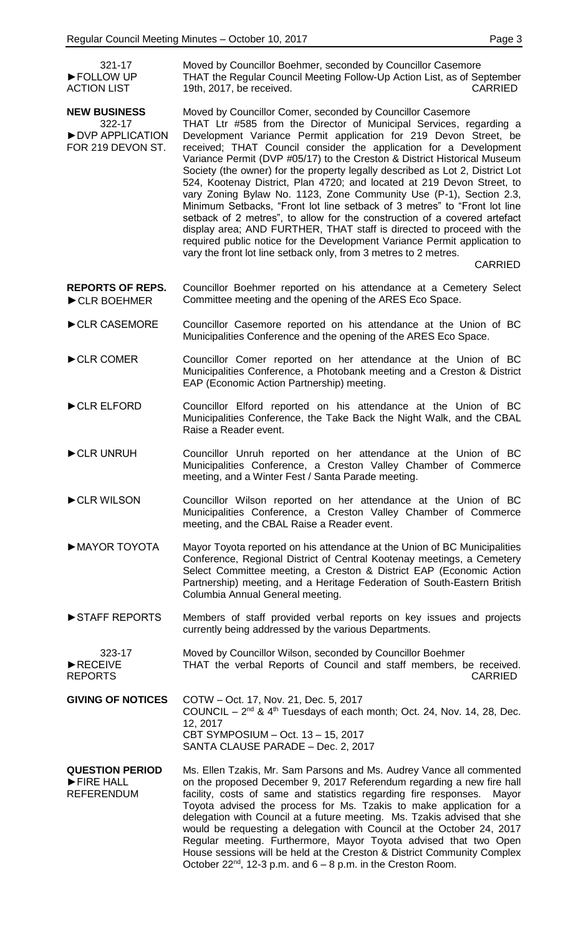321-17

| FOLLOW UP<br><b>ACTION LIST</b>                                       | THAT the Regular Council Meeting Follow-Up Action List, as of September<br>19th, 2017, be received.<br><b>CARRIED</b>                                                                                                                                                                                                                                                                                                                                                                                                                                                                                                                                                                                                                                                                                                                                                                                                                                                      |
|-----------------------------------------------------------------------|----------------------------------------------------------------------------------------------------------------------------------------------------------------------------------------------------------------------------------------------------------------------------------------------------------------------------------------------------------------------------------------------------------------------------------------------------------------------------------------------------------------------------------------------------------------------------------------------------------------------------------------------------------------------------------------------------------------------------------------------------------------------------------------------------------------------------------------------------------------------------------------------------------------------------------------------------------------------------|
| <b>NEW BUSINESS</b><br>322-17<br>DVP APPLICATION<br>FOR 219 DEVON ST. | Moved by Councillor Comer, seconded by Councillor Casemore<br>THAT Ltr #585 from the Director of Municipal Services, regarding a<br>Development Variance Permit application for 219 Devon Street, be<br>received; THAT Council consider the application for a Development<br>Variance Permit (DVP #05/17) to the Creston & District Historical Museum<br>Society (the owner) for the property legally described as Lot 2, District Lot<br>524, Kootenay District, Plan 4720; and located at 219 Devon Street, to<br>vary Zoning Bylaw No. 1123, Zone Community Use (P-1), Section 2.3,<br>Minimum Setbacks, "Front lot line setback of 3 metres" to "Front lot line<br>setback of 2 metres", to allow for the construction of a covered artefact<br>display area; AND FURTHER, THAT staff is directed to proceed with the<br>required public notice for the Development Variance Permit application to<br>vary the front lot line setback only, from 3 metres to 2 metres. |
|                                                                       | <b>CARRIED</b>                                                                                                                                                                                                                                                                                                                                                                                                                                                                                                                                                                                                                                                                                                                                                                                                                                                                                                                                                             |
| <b>REPORTS OF REPS.</b><br>CLR BOEHMER                                | Councillor Boehmer reported on his attendance at a Cemetery Select<br>Committee meeting and the opening of the ARES Eco Space.                                                                                                                                                                                                                                                                                                                                                                                                                                                                                                                                                                                                                                                                                                                                                                                                                                             |
| CLR CASEMORE                                                          | Councillor Casemore reported on his attendance at the Union of BC<br>Municipalities Conference and the opening of the ARES Eco Space.                                                                                                                                                                                                                                                                                                                                                                                                                                                                                                                                                                                                                                                                                                                                                                                                                                      |
| CLR COMER                                                             | Councillor Comer reported on her attendance at the Union of BC<br>Municipalities Conference, a Photobank meeting and a Creston & District<br>EAP (Economic Action Partnership) meeting.                                                                                                                                                                                                                                                                                                                                                                                                                                                                                                                                                                                                                                                                                                                                                                                    |
| CLR ELFORD                                                            | Councillor Elford reported on his attendance at the Union of BC<br>Municipalities Conference, the Take Back the Night Walk, and the CBAL<br>Raise a Reader event.                                                                                                                                                                                                                                                                                                                                                                                                                                                                                                                                                                                                                                                                                                                                                                                                          |
| CLR UNRUH                                                             | Councillor Unruh reported on her attendance at the Union of BC<br>Municipalities Conference, a Creston Valley Chamber of Commerce<br>meeting, and a Winter Fest / Santa Parade meeting.                                                                                                                                                                                                                                                                                                                                                                                                                                                                                                                                                                                                                                                                                                                                                                                    |
| CLR WILSON                                                            | Councillor Wilson reported on her attendance at the Union of BC<br>Municipalities Conference, a Creston Valley Chamber of Commerce<br>meeting, and the CBAL Raise a Reader event.                                                                                                                                                                                                                                                                                                                                                                                                                                                                                                                                                                                                                                                                                                                                                                                          |
| MAYOR TOYOTA                                                          | Mayor Toyota reported on his attendance at the Union of BC Municipalities<br>Conference, Regional District of Central Kootenay meetings, a Cemetery<br>Select Committee meeting, a Creston & District EAP (Economic Action<br>Partnership) meeting, and a Heritage Federation of South-Eastern British<br>Columbia Annual General meeting.                                                                                                                                                                                                                                                                                                                                                                                                                                                                                                                                                                                                                                 |
| STAFF REPORTS                                                         | Members of staff provided verbal reports on key issues and projects<br>currently being addressed by the various Departments.                                                                                                                                                                                                                                                                                                                                                                                                                                                                                                                                                                                                                                                                                                                                                                                                                                               |
| 323-17<br>RECEIVE<br><b>REPORTS</b>                                   | Moved by Councillor Wilson, seconded by Councillor Boehmer<br>THAT the verbal Reports of Council and staff members, be received.<br><b>CARRIED</b>                                                                                                                                                                                                                                                                                                                                                                                                                                                                                                                                                                                                                                                                                                                                                                                                                         |
| <b>GIVING OF NOTICES</b>                                              | COTW - Oct. 17, Nov. 21, Dec. 5, 2017<br>COUNCIL – $2^{nd}$ & $4^{th}$ Tuesdays of each month; Oct. 24, Nov. 14, 28, Dec.<br>12, 2017<br>CBT SYMPOSIUM - Oct. 13 - 15, 2017<br>SANTA CLAUSE PARADE - Dec. 2, 2017                                                                                                                                                                                                                                                                                                                                                                                                                                                                                                                                                                                                                                                                                                                                                          |
| <b>QUESTION PERIOD</b><br>FIRE HALL<br><b>REFERENDUM</b>              | Ms. Ellen Tzakis, Mr. Sam Parsons and Ms. Audrey Vance all commented<br>on the proposed December 9, 2017 Referendum regarding a new fire hall<br>facility, costs of same and statistics regarding fire responses.<br>Mayor<br>Toyota advised the process for Ms. Tzakis to make application for a<br>delegation with Council at a future meeting. Ms. Tzakis advised that she<br>would be requesting a delegation with Council at the October 24, 2017<br>Regular meeting. Furthermore, Mayor Toyota advised that two Open<br>House sessions will be held at the Creston & District Community Complex<br>October $22^{nd}$ , 12-3 p.m. and $6 - 8$ p.m. in the Creston Room.                                                                                                                                                                                                                                                                                               |

Moved by Councillor Boehmer, seconded by Councillor Casemore